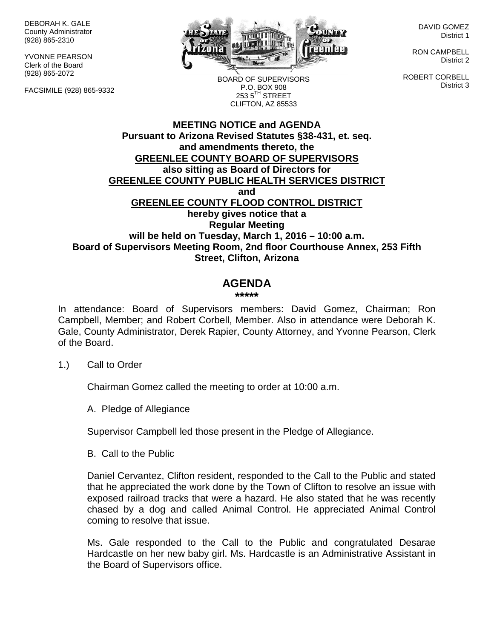DEBORAH K. GALE County Administrator (928) 865-2310

YVONNE PEARSON Clerk of the Board (928) 865-2072

FACSIMILE (928) 865-9332



BOARD OF SUPERVISORS P.O. BOX 908  $253.5$ <sup>TH</sup> STREET CLIFTON, AZ 85533

DAVID GOMEZ District 1

RON CAMPBELL District 2

ROBERT CORBELL District 3

## **MEETING NOTICE and AGENDA Pursuant to Arizona Revised Statutes §38-431, et. seq. and amendments thereto, the GREENLEE COUNTY BOARD OF SUPERVISORS also sitting as Board of Directors for GREENLEE COUNTY PUBLIC HEALTH SERVICES DISTRICT and GREENLEE COUNTY FLOOD CONTROL DISTRICT hereby gives notice that a Regular Meeting will be held on Tuesday, March 1, 2016 – 10:00 a.m. Board of Supervisors Meeting Room, 2nd floor Courthouse Annex, 253 Fifth Street, Clifton, Arizona**

# **AGENDA**

#### **\*\*\*\*\***

In attendance: Board of Supervisors members: David Gomez, Chairman; Ron Campbell, Member; and Robert Corbell, Member. Also in attendance were Deborah K. Gale, County Administrator, Derek Rapier, County Attorney, and Yvonne Pearson, Clerk of the Board.

## 1.) Call to Order

Chairman Gomez called the meeting to order at 10:00 a.m.

A. Pledge of Allegiance

Supervisor Campbell led those present in the Pledge of Allegiance.

B. Call to the Public

Daniel Cervantez, Clifton resident, responded to the Call to the Public and stated that he appreciated the work done by the Town of Clifton to resolve an issue with exposed railroad tracks that were a hazard. He also stated that he was recently chased by a dog and called Animal Control. He appreciated Animal Control coming to resolve that issue.

Ms. Gale responded to the Call to the Public and congratulated Desarae Hardcastle on her new baby girl. Ms. Hardcastle is an Administrative Assistant in the Board of Supervisors office.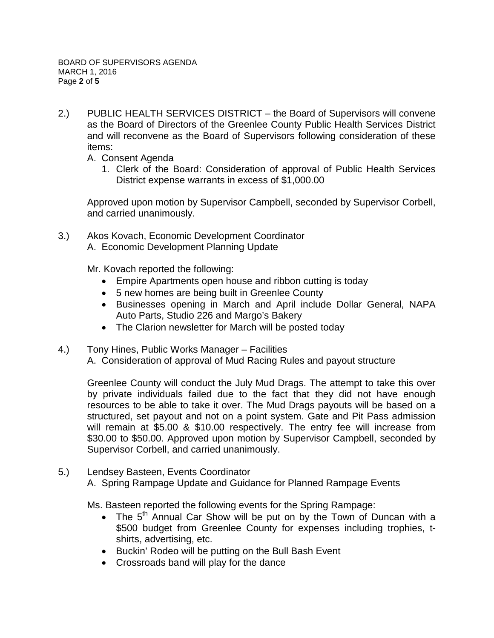- 2.) PUBLIC HEALTH SERVICES DISTRICT the Board of Supervisors will convene as the Board of Directors of the Greenlee County Public Health Services District and will reconvene as the Board of Supervisors following consideration of these items:
	- A. Consent Agenda
		- 1. Clerk of the Board: Consideration of approval of Public Health Services District expense warrants in excess of \$1,000.00

Approved upon motion by Supervisor Campbell, seconded by Supervisor Corbell, and carried unanimously.

3.) Akos Kovach, Economic Development Coordinator A. Economic Development Planning Update

Mr. Kovach reported the following:

- Empire Apartments open house and ribbon cutting is today
- 5 new homes are being built in Greenlee County
- Businesses opening in March and April include Dollar General, NAPA Auto Parts, Studio 226 and Margo's Bakery
- The Clarion newsletter for March will be posted today
- 4.) Tony Hines, Public Works Manager Facilities A. Consideration of approval of Mud Racing Rules and payout structure

Greenlee County will conduct the July Mud Drags. The attempt to take this over by private individuals failed due to the fact that they did not have enough resources to be able to take it over. The Mud Drags payouts will be based on a structured, set payout and not on a point system. Gate and Pit Pass admission will remain at \$5.00 & \$10.00 respectively. The entry fee will increase from \$30.00 to \$50.00. Approved upon motion by Supervisor Campbell, seconded by Supervisor Corbell, and carried unanimously.

5.) Lendsey Basteen, Events Coordinator A. Spring Rampage Update and Guidance for Planned Rampage Events

Ms. Basteen reported the following events for the Spring Rampage:

- The  $5<sup>th</sup>$  Annual Car Show will be put on by the Town of Duncan with a \$500 budget from Greenlee County for expenses including trophies, tshirts, advertising, etc.
- Buckin' Rodeo will be putting on the Bull Bash Event
- Crossroads band will play for the dance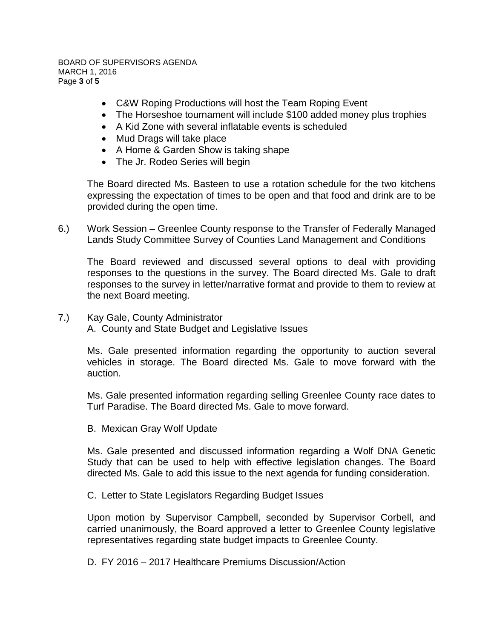BOARD OF SUPERVISORS AGENDA MARCH 1, 2016 Page **3** of **5**

- C&W Roping Productions will host the Team Roping Event
- The Horseshoe tournament will include \$100 added money plus trophies
- A Kid Zone with several inflatable events is scheduled
- Mud Drags will take place
- A Home & Garden Show is taking shape
- The Jr. Rodeo Series will begin

The Board directed Ms. Basteen to use a rotation schedule for the two kitchens expressing the expectation of times to be open and that food and drink are to be provided during the open time.

6.) Work Session – Greenlee County response to the Transfer of Federally Managed Lands Study Committee Survey of Counties Land Management and Conditions

The Board reviewed and discussed several options to deal with providing responses to the questions in the survey. The Board directed Ms. Gale to draft responses to the survey in letter/narrative format and provide to them to review at the next Board meeting.

7.) Kay Gale, County Administrator A. County and State Budget and Legislative Issues

> Ms. Gale presented information regarding the opportunity to auction several vehicles in storage. The Board directed Ms. Gale to move forward with the auction.

> Ms. Gale presented information regarding selling Greenlee County race dates to Turf Paradise. The Board directed Ms. Gale to move forward.

B. Mexican Gray Wolf Update

Ms. Gale presented and discussed information regarding a Wolf DNA Genetic Study that can be used to help with effective legislation changes. The Board directed Ms. Gale to add this issue to the next agenda for funding consideration.

C. Letter to State Legislators Regarding Budget Issues

Upon motion by Supervisor Campbell, seconded by Supervisor Corbell, and carried unanimously, the Board approved a letter to Greenlee County legislative representatives regarding state budget impacts to Greenlee County.

D. FY 2016 – 2017 Healthcare Premiums Discussion/Action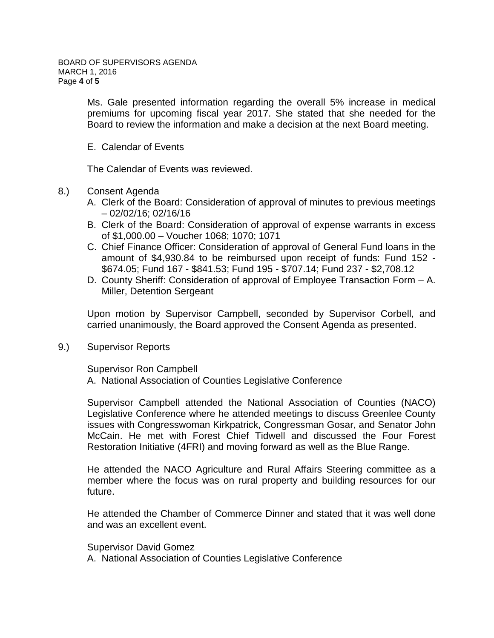Ms. Gale presented information regarding the overall 5% increase in medical premiums for upcoming fiscal year 2017. She stated that she needed for the Board to review the information and make a decision at the next Board meeting.

E. Calendar of Events

The Calendar of Events was reviewed.

- 8.) Consent Agenda
	- A. Clerk of the Board: Consideration of approval of minutes to previous meetings – 02/02/16; 02/16/16
	- B. Clerk of the Board: Consideration of approval of expense warrants in excess of \$1,000.00 – Voucher 1068; 1070; 1071
	- C. Chief Finance Officer: Consideration of approval of General Fund loans in the amount of \$4,930.84 to be reimbursed upon receipt of funds: Fund 152 - \$674.05; Fund 167 - \$841.53; Fund 195 - \$707.14; Fund 237 - \$2,708.12
	- D. County Sheriff: Consideration of approval of Employee Transaction Form A. Miller, Detention Sergeant

Upon motion by Supervisor Campbell, seconded by Supervisor Corbell, and carried unanimously, the Board approved the Consent Agenda as presented.

9.) Supervisor Reports

Supervisor Ron Campbell A. National Association of Counties Legislative Conference

Supervisor Campbell attended the National Association of Counties (NACO) Legislative Conference where he attended meetings to discuss Greenlee County issues with Congresswoman Kirkpatrick, Congressman Gosar, and Senator John McCain. He met with Forest Chief Tidwell and discussed the Four Forest Restoration Initiative (4FRI) and moving forward as well as the Blue Range.

He attended the NACO Agriculture and Rural Affairs Steering committee as a member where the focus was on rural property and building resources for our future.

He attended the Chamber of Commerce Dinner and stated that it was well done and was an excellent event.

Supervisor David Gomez

A. National Association of Counties Legislative Conference